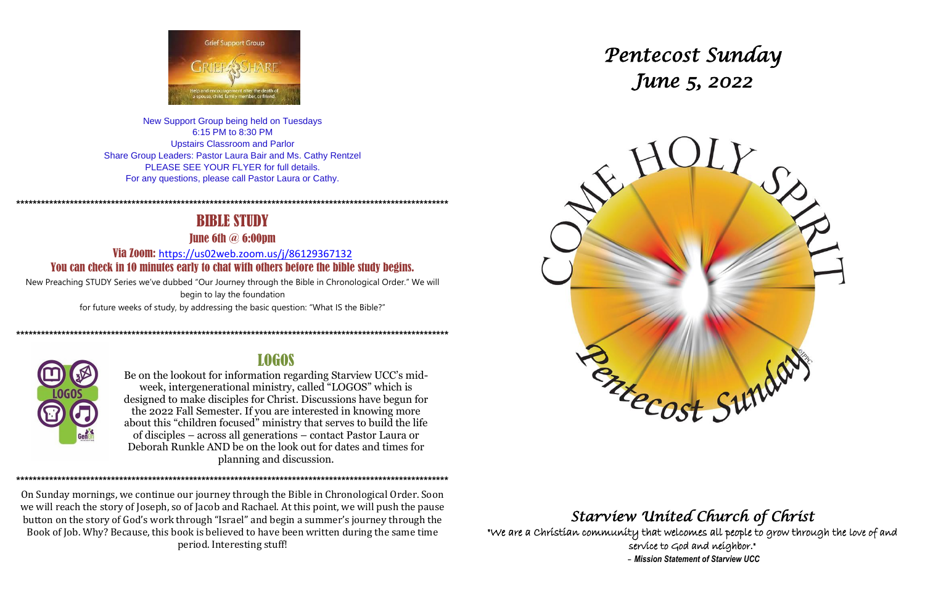

New Support Group being held on Tuesdays 6:15 PM to 8:30 PM **Upstairs Classroom and Parlor** Share Group Leaders: Pastor Laura Bair and Ms. Cathy Rentzel PLEASE SEE YOUR FLYER for full details. For any questions, please call Pastor Laura or Cathy.

## **BIBLE STUDY**

**Tune 6th**  $\omega$  **6:00pm** 

Via Zoom: https://us02web.zoom.us/j/86129367132 You can check in 10 minutes early to chat with others before the bible study begins.

New Preaching STUDY Series we've dubbed "Our Journey through the Bible in Chronological Order." We will begin to lay the foundation for future weeks of study, by addressing the basic question: "What IS the Bible?"



## **LOGOS**

Be on the lookout for information regarding Starview UCC's midweek, intergenerational ministry, called "LOGOS" which is designed to make disciples for Christ. Discussions have begun for the 2022 Fall Semester. If you are interested in knowing more about this "children focused" ministry that serves to build the life of disciples – across all generations – contact Pastor Laura or Deborah Runkle AND be on the look out for dates and times for planning and discussion.

On Sunday mornings, we continue our journey through the Bible in Chronological Order. Soon we will reach the story of Joseph, so of Jacob and Rachael. At this point, we will push the pause button on the story of God's work through "Israel" and begin a summer's journey through the Book of Job. Why? Because, this book is believed to have been written during the same time period. Interesting stuff!

# Pentecost Sunday June 5, 2022



## Starview United Church of Christ

"We are a Christian community that welcomes all people to grow through the love of and service to God and neighbor." - Mission Statement of Starview UCC